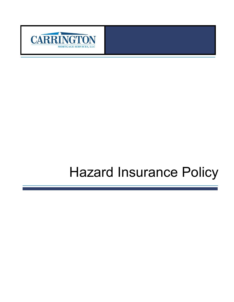

# Hazard Insurance Policy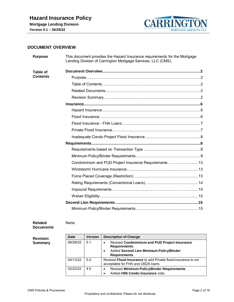

# <span id="page-1-0"></span>**DOCUMENT OVERVIEW**

<span id="page-1-2"></span><span id="page-1-1"></span>

| <b>Purpose</b>                     | This document provides the Hazard Insurance requirements for the Mortgage<br>Lending Division of Carrington Mortgage Services, LLC (CMS). |
|------------------------------------|-------------------------------------------------------------------------------------------------------------------------------------------|
| <b>Table of</b><br><b>Contents</b> |                                                                                                                                           |
|                                    |                                                                                                                                           |
|                                    |                                                                                                                                           |
|                                    |                                                                                                                                           |
|                                    |                                                                                                                                           |
|                                    |                                                                                                                                           |
|                                    | Condominium and PUD Project Insurance Requirements 13                                                                                     |
|                                    |                                                                                                                                           |
|                                    |                                                                                                                                           |
|                                    |                                                                                                                                           |

#### <span id="page-1-3"></span>**Related Documents** None

<span id="page-1-4"></span>**Revision Summary**

| Date     | <b>Version</b> | <b>Description of Change</b>                                                                                                                                |
|----------|----------------|-------------------------------------------------------------------------------------------------------------------------------------------------------------|
| 06/28/22 | 5.1            | <b>Revised Condominium and PUD Project Insurance</b><br>$\bullet$<br>Requirements.<br>Added Second Lien Minimum Policy/Binder<br>$\bullet$<br>Requirements. |
| 04/13/22 | 5.0            | Revised <b>Flood Insurance</b> to add Private flood insurance is not<br>acceptable for FHA and USDA loans.                                                  |
| 02/22/22 | 4.9            | <b>Revised Minimum Policy/Binder Requirements</b><br>$\bullet$<br>Added H06 Condo Insurance note.                                                           |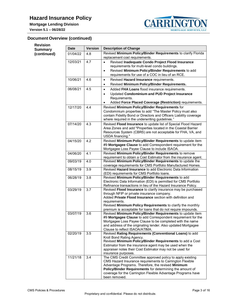**Version 5.1 – 06/28/22**



# **Document Overview (continued)**

| <b>Revision</b><br><b>Summary</b> | <b>Date</b> | <b>Version</b> | <b>Description of Change</b>                                                                                                                                                                                                                                                                                              |
|-----------------------------------|-------------|----------------|---------------------------------------------------------------------------------------------------------------------------------------------------------------------------------------------------------------------------------------------------------------------------------------------------------------------------|
| (continued)                       | 01/04/22    | 4.8            | Revised Minimum Policy/Binder Requirements to clarify Florida<br>replacement cost requirements.                                                                                                                                                                                                                           |
|                                   | 12/03/21    | 4.7            | Revised Inadequate Condo Project Flood Insurance<br>$\bullet$<br>requirements for multi-level condo buildings.<br>Revised Minimum Policy/Binder Requirements to add<br>$\bullet$<br>requirements for use of a COC in lieu of an RCE.                                                                                      |
|                                   | 10/06/21    | 4.6            | Revised Hazard Insurance requirements.<br>$\bullet$<br>Revised Minimum Policy/Binder Requirements.<br>$\bullet$                                                                                                                                                                                                           |
|                                   | 06/08/21    | 4.5            | Added FHA Loans flood insurance requirements.<br>$\bullet$<br>Updated Condominium and PUD Project Insurance<br>$\bullet$<br>Requirements.<br>Added Force Placed Coverage (Restriction) requirements.<br>$\bullet$                                                                                                         |
|                                   | 12/17/20    | 4.4            | Revised Minimum Policy/Binder Requirements for<br>Condominium properties to add "The Master Policy must also<br>contain Fidelity Bond or Directors and Officers Liability coverage<br>where required in the underwriting guidelines."                                                                                     |
|                                   | 07/14/20    | 4.3            | Revised Flood Insurance to update list of Special Flood Hazard<br>Area Zones and add "Properties located in the Coastal Barrier<br>Resources System (CBRS) are not acceptable for FHA, VA, and<br>USDA financing."                                                                                                        |
|                                   | 04/15/20    | 4.2            | Revised Minimum Policy/Binder Requirements to update item<br>#9 Mortgagee Clause to add Correspondent requirement for the<br>Mortgagee Loss Payee Clause to include ISAOA.                                                                                                                                                |
|                                   | 04/06/20    | 4.1            | Revised Minimum Policy/Binder Requirements to remove<br>requirement to obtain a Cost Estimator from the insurance agent.                                                                                                                                                                                                  |
|                                   | 09/03/19    | 4.0            | Revised Minimum Policy/Binder Requirements to update the<br>coverage requirements for CMS Portfolio Manufactured Homes.                                                                                                                                                                                                   |
|                                   | 08/15/19    | 3.9            | Revised <b>Hazard Insurance</b> to add Electronic Data Information<br>(EDI) requirements for CMS Portfolio loans.                                                                                                                                                                                                         |
|                                   | 06/28/19    | 3.8            | Revised Minimum Policy/Binder Requirements to add<br>Electronic Data Information (EDI) is permitted for CMS Portfolio<br>Refinance transactions in lieu of the Hazard Insurance Policy.                                                                                                                                   |
|                                   | 03/29/19    | 3.7            | Revised Flood Insurance to clarify insurance may be purchased<br>through NFIP or private insurance company.<br>Added Private Flood Insurance section with definition and<br>requirements.<br>Revised Minimum Policy Requirements to clarify the monthly<br>premium is acceptable for loans that do not require impounds.  |
|                                   | 03/07/19    | 3.6            | Revised Minimum Policy/Binder Requirements to update item<br>#9 Mortgagee Clause to add Correspondent requirement for the<br>Mortgagee Loss Payee Clause to be completed with the name<br>and address of the originating lender. Also updated Mortgagee<br>Clause to reflect ISAOA/ATIMA.                                 |
|                                   | 02/20/19    | 3.5            | Revised Rating Requirements (Conventional Loans) to add<br>Kroll Bond Rating Agency.<br>Revised Minimum Policy/Binder Requirements to add a Cost<br>Estimator from the insurance agent may be used when the<br>appraiser notes their Cost Estimator may not be used for<br>insurance purposes.                            |
|                                   | 11/21/18    | 3.4            | The CMS Credit Committee approved policy to apply existing<br>CMS Hazard Insurance requirements to Carrington Flexible<br>Advantage Programs. Therefore, the revised Minimum<br>Policy/Binder Requirements for determining the amount of<br>coverage for the Carrington Flexible Advantage Programs have<br>been removed. |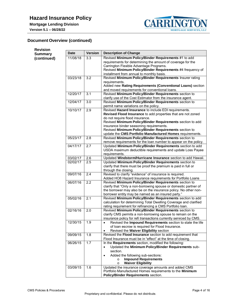

# **Document Overview (continued)**

| <b>Revision</b> |             |                |                                                                                                                                                                                                                                                                                                                            |
|-----------------|-------------|----------------|----------------------------------------------------------------------------------------------------------------------------------------------------------------------------------------------------------------------------------------------------------------------------------------------------------------------------|
| <b>Summary</b>  | <b>Date</b> | <b>Version</b> | <b>Description of Change</b>                                                                                                                                                                                                                                                                                               |
| (continued)     | 11/08/18    | 3.3            | Revised Minimum Policy/Binder Requirements #1 to add<br>requirements for determining the amount of coverage for the<br>Carrington Flexible Advantage Programs.<br>Revised Minimum Policy/Binder Requirements #4 frequency of<br>installment from annual to monthly basis.                                                  |
|                 | 03/23/18    | 3.2            | Revised Minimum Policy/Binder Requirements Insurer rating<br>requirements.<br>Added new Rating Requirements (Conventional Loans) section<br>and moved requirements for conventional loans.                                                                                                                                 |
|                 | 12/20/17    | 3.1            | Revised Minimum Policy/Binder Requirements section to<br>clarify use of the Cost Estimator from the insurance agent.                                                                                                                                                                                                       |
|                 | 12/04/17    | $3.0\,$        | Revised Minimum Policy/Binder Requirements section to<br>permit name variations on the policy.                                                                                                                                                                                                                             |
|                 | 10/10/17    | 2.9            | Revised Hazard Insurance to include EDI requirements.<br>Revised Flood Insurance to add properties that are not zoned<br>do not require flood insurance.<br>Revised Minimum Policy/Binder Requirements section to add<br>insurance binder seasoning requirements.<br>Revised Minimum Policy/Binder Requirements section to |
|                 | 05/23/17    | 2.8            | update the CMS Portfolio Manufactured Homes requirements.<br>Revised Minimum Policy/Binder Requirements section to                                                                                                                                                                                                         |
|                 |             |                | remove requirements for the loan number to appear on the policy.                                                                                                                                                                                                                                                           |
|                 | 04/17/17    | 2.7            | Updated Minimum Policy/Binder Requirements section to add<br>USDA maximum deductible requirements and update Loss Payee<br>requirements.                                                                                                                                                                                   |
|                 | 03/02/17    | 2.6            | Updated Windstorm/Hurricane Insurance section to add Hawaii.                                                                                                                                                                                                                                                               |
|                 | 02/02/17    | 2.5            | Updated Minimum Policy/Binder Requirements section to<br>clarify that there must be proof the premium is paid in full or<br>through the closing.                                                                                                                                                                           |
|                 | 09/07/16    | 2.4            | Revised to clarify "evidence" of insurance is required.<br>Added HO8 Hazard Insurance requirements for Portfolio Loans                                                                                                                                                                                                     |
|                 | 06/07/16    | 2.2            | Revised Minimum Policy/Binder Requirements section to<br>clarify that "Only a non-borrowing spouse or domestic partner of<br>the borrower may also be on the insurance policy. No other non-<br>borrower entity may be named as an insured party."                                                                         |
|                 | 05/02/16    | 2.1            | Revised Minimum Policy/Binder Requirements section to add<br>calculation for determining Total Dwelling Coverage and clarified<br>rating requirement for refinancing a CMS Portfolio loan.                                                                                                                                 |
|                 | 02/16/16    | 2.0            | Revised Minimum Policy/Binder Requirements section to<br>clarify CMS permits a non-borrowing spouse to remain on the<br>insurance policy for refi transactions currently serviced by CMS.                                                                                                                                  |
|                 | 12/30/15    | 1.9            | Revised the Impound Requirements section to state the life<br>$\bullet$<br>of loan escrow is required for Flood Insurance.<br>Revised the Waiver Eligibility section<br>$\bullet$                                                                                                                                          |
|                 | 09/09/15    | 1.8            | Revised the Flood Insurance section to add requirement that<br>Flood Insurance must be in "effect" at the time of closing.                                                                                                                                                                                                 |
|                 | 06/26/15    | 1.7            | In the Requirements section, modified the following:<br>Updated the Minimum Policy/Binder Requirements sub-<br>section.<br>Added the following sub-sections:<br>$\bullet$<br><b>Impound Requirements</b><br>$\circ$<br><b>Waiver Eligibility</b><br>$\circ$                                                                |
|                 | 03/09/15    | 1.6            | Updated the insurance coverage amounts and added CMS<br>Portfolio Manufactured Homes requirements to the Minimum<br>Policy/Binder Requirements section.                                                                                                                                                                    |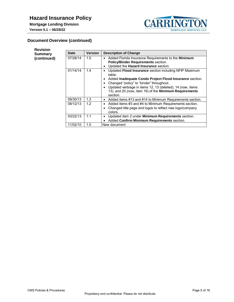

# **Document Overview (continued)**

| <b>Revision</b> |          |         |                                                                                                                                                                                                                                                                                                                                         |
|-----------------|----------|---------|-----------------------------------------------------------------------------------------------------------------------------------------------------------------------------------------------------------------------------------------------------------------------------------------------------------------------------------------|
| <b>Summary</b>  | Date     | Version | <b>Description of Change</b>                                                                                                                                                                                                                                                                                                            |
| (continued)     | 07/28/14 | 1.5     | Added Florida Insurance Requirements to the Minimum<br>$\bullet$<br>Policy/Binder Requirements section.<br>Updated the Hazard Insurance section.<br>٠                                                                                                                                                                                   |
|                 | 01/14/14 | 1.4     | Updated Flood Insurance section including NFIP Maximum<br>٠<br>table.<br>Added Inadequate Condo Project Flood Insurance section.<br>٠<br>Changed "policy" to "binder" throughout.<br>٠<br>Updated verbiage in items 12, 13 (deleted), 14 (now, items<br>$\bullet$<br>13), and 20 (now, item 19) of the Minimum Requirements<br>section. |
|                 | 09/30/13 | 1.3     | Added items #13 and #14 to Minimum Requirements section.<br>$\bullet$                                                                                                                                                                                                                                                                   |
|                 | 08/12/13 | 1.2     | Added items #3 and #4 to Minimum Requirements section.<br>٠<br>Changed title page and logos to reflect new logo/company<br>٠<br>colors.                                                                                                                                                                                                 |
|                 | 03/22/13 | 1.1     | Updated item 2 under Minimum Requirements section.<br>٠<br>Added Confirm Minimum Requirements section.                                                                                                                                                                                                                                  |
|                 | 11/02/10 | 1.0     | New document                                                                                                                                                                                                                                                                                                                            |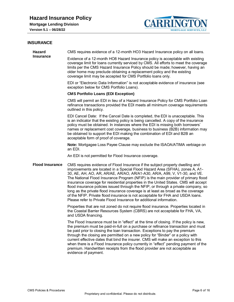

# <span id="page-5-0"></span>**INSURANCE**

<span id="page-5-2"></span><span id="page-5-1"></span>

| <b>Hazard</b><br><b>Insurance</b> | CMS requires evidence of a 12-month HO3 Hazard Insurance policy on all loans.                                                                                                                                                                                                                                                                                                                                                                                                                                                                                                                                                                                                                                                                              |  |  |
|-----------------------------------|------------------------------------------------------------------------------------------------------------------------------------------------------------------------------------------------------------------------------------------------------------------------------------------------------------------------------------------------------------------------------------------------------------------------------------------------------------------------------------------------------------------------------------------------------------------------------------------------------------------------------------------------------------------------------------------------------------------------------------------------------------|--|--|
|                                   | Evidence of a 12-month HO8 Hazard Insurance policy is acceptable with existing<br>coverage limit for loans currently serviced by CMS. All efforts to meet the coverage<br>limits per the CMS Hazard Insurance Policy should be made; however, having an<br>older home may preclude obtaining a replacement policy and the existing<br>coverage limit may be accepted for CMS Portfolio loans only.                                                                                                                                                                                                                                                                                                                                                         |  |  |
|                                   | EDI or "Electronic Data Information" is not acceptable evidence of insurance (see<br>exception below for CMS Portfolio Loans).                                                                                                                                                                                                                                                                                                                                                                                                                                                                                                                                                                                                                             |  |  |
|                                   | <b>CMS Portfolio Loans (EDI Exception)</b>                                                                                                                                                                                                                                                                                                                                                                                                                                                                                                                                                                                                                                                                                                                 |  |  |
|                                   | CMS will permit an EDI in lieu of a Hazard Insurance Policy for CMS Portfolio Loan<br>refinance transactions provided the EDI meets all minimum coverage requirements<br>outlined in this policy.                                                                                                                                                                                                                                                                                                                                                                                                                                                                                                                                                          |  |  |
|                                   | EDI Cancel Date: If the Cancel Date is completed, the EDI is unacceptable. This<br>is an indicator that the existing policy is being cancelled. A copy of the insurance<br>policy must be obtained. In instances where the EDI is missing both borrowers'<br>names or replacement cost coverage, business to business (B2B) information may<br>be obtained to support the EDI making the combination of EDI and B2B an<br>acceptable form of proof of coverage.                                                                                                                                                                                                                                                                                            |  |  |
|                                   | Note: Mortgagee Loss Payee Clause may exclude the ISAOA/ATIMA verbiage on<br>an EDI.                                                                                                                                                                                                                                                                                                                                                                                                                                                                                                                                                                                                                                                                       |  |  |
|                                   | An EDI is not permitted for Flood Insurance coverage.                                                                                                                                                                                                                                                                                                                                                                                                                                                                                                                                                                                                                                                                                                      |  |  |
| <b>Flood Insurance</b>            | CMS requires evidence of Flood Insurance if the subject property dwelling and<br>improvements are located in a Special Flood Hazard Area (SFHA), zones A, A1-<br>30, AE, AH, AO, AR, AR/AE, AR/AO, AR/A1-A30, AR/A, A99, V, V1-30, and VE.<br>The National Flood Insurance Program (NFIP) is the main provider of primary flood<br>insurance coverage for residential properties in the United States. CMS will accept<br>flood insurance policies issued through the NFIP, or through a private company, so<br>long as the private flood insurance coverage is at least as broad as the coverage<br>of the NFIP. Private flood insurance is not acceptable for FHA and USDA loans.<br>Please refer to Private Flood Insurance for additional information. |  |  |
|                                   | Properties that are not zoned do not require flood insurance. Properties located in<br>the Coastal Barrier Resources System (CBRS) are not acceptable for FHA, VA,<br>and USDA financing.                                                                                                                                                                                                                                                                                                                                                                                                                                                                                                                                                                  |  |  |
|                                   | The Flood Insurance must be in "effect" at the time of closing. If the policy is new,<br>the premium must be paid-in-full on a purchase or refinance transaction and must<br>be paid prior to closing the loan transaction. Exceptions to pay the premium<br>through the closing are permitted on a new policy for "Binder" or a policy with<br>current effective dates that bind the insurer. CMS will make an exception to this<br>when there is a Flood Insurance policy currently in "effect" pending payment of the<br>premium. Handwritten receipts from the flood provider are not acceptable as<br>evidence of payment.                                                                                                                            |  |  |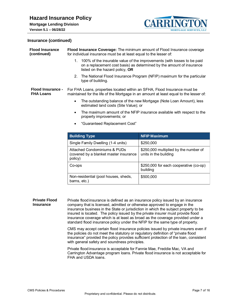

# **Version 5.1 – 06/28/22**

#### **Insurance (continued)**

<span id="page-6-0"></span>

| <b>Flood Insurance</b><br>(continued)                                                                            | Flood Insurance Coverage: The minimum amount of Flood Insurance coverage<br>for individual insurance must be at least equal to the lesser of: |                                                                                                                                                     |  |  |  |
|------------------------------------------------------------------------------------------------------------------|-----------------------------------------------------------------------------------------------------------------------------------------------|-----------------------------------------------------------------------------------------------------------------------------------------------------|--|--|--|
|                                                                                                                  | listed on the hazard policy, OR                                                                                                               | 1. 100% of the insurable value of the improvements (with losses to be paid<br>on a replacement cost basis) as determined by the amount of insurance |  |  |  |
|                                                                                                                  | 2.<br>type of building.                                                                                                                       | The National Flood Insurance Program (NFIP) maximum for the particular                                                                              |  |  |  |
| Flood Insurance -<br><b>FHA Loans</b>                                                                            | For FHA Loans, properties located within an SFHA, Flood Insurance must be                                                                     | maintained for the life of the Mortgage in an amount at least equal to the lesser of:                                                               |  |  |  |
|                                                                                                                  | The outstanding balance of the new Mortgage (Note Loan Amount), less<br>$\bullet$<br>estimated land costs (Site Value); or                    |                                                                                                                                                     |  |  |  |
| The maximum amount of the NFIP insurance available with respect to the<br>$\bullet$<br>property improvements; or |                                                                                                                                               |                                                                                                                                                     |  |  |  |
|                                                                                                                  | "Guaranteed Replacement Cost"                                                                                                                 |                                                                                                                                                     |  |  |  |
|                                                                                                                  | <b>Building Type</b>                                                                                                                          | <b>NFIP Maximum</b>                                                                                                                                 |  |  |  |
|                                                                                                                  | Single Family Dwelling (1-4 units)                                                                                                            | \$250,000                                                                                                                                           |  |  |  |
|                                                                                                                  | <b>Attached Condominiums &amp; PUDs</b><br>(covered by a blanket master insurance<br>policy)                                                  | \$250,000 multiplied by the number of<br>units in the building                                                                                      |  |  |  |
|                                                                                                                  | Co-ops                                                                                                                                        | \$250,000 for each cooperative (co-op)<br>building                                                                                                  |  |  |  |
|                                                                                                                  | Non-residential (pool houses, sheds,<br>barns, etc.)                                                                                          | \$500,000                                                                                                                                           |  |  |  |

<span id="page-6-1"></span>**Private Flood Insurance** Private flood insurance is defined as an insurance policy issued by an insurance company that is licensed, admitted or otherwise approved to engage in the insurance business in the State or jurisdiction in which the subject property to be insured is located. The policy issued by the private insurer must provide flood insurance coverage which is at least as broad as the coverage provided under a standard flood insurance policy under the NFIP for the same type of property.

> CMS may accept certain flood insurance policies issued by private insurers even if the policies do not meet the statutory or regulatory definition of "private flood insurance" provided the policy provides sufficient protection of the loan, consistent with general safety and soundness principles.

> Private flood insurance is acceptable for Fannie Mae, Freddie Mac, VA and Carrington Advantage program loans. Private flood insurance is not acceptable for FHA and USDA loans.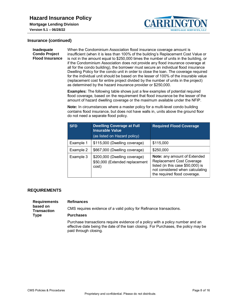

#### **Insurance (continued)**

#### <span id="page-7-0"></span>**Inadequate Condo Project Flood Insurance**

When the Condominium Association flood insurance coverage amount is insufficient (when it is less than 100% of the building's Replacement Cost Value or is not in the amount equal to \$250,000 times the number of units in the building, or if the Condominium Association does not provide any flood insurance coverage at all for the condo building), the borrower must secure an individual flood insurance Dwelling Policy for the condo unit in order to close the loan. The coverage required for the individual unit should be based on the lesser of 100% of the insurable value (replacement cost for entire project divided by the number of units in the project) as determined by the hazard insurance provider or \$250,000.

**CARRI** 

**MORTGAGE SERVICES, LLC** 

**Examples:** The following table shows just a few examples of potential required flood coverage, based on the requirement that flood insurance be the lesser of the amount of hazard dwelling coverage or the maximum available under the NFIP.

**Note:** In circumstances where a master policy for a multi-level condo building contains flood insurance, but does not have walls in, units above the ground floor do not need a separate flood policy.

| <b>SFD</b> | <b>Dwelling Coverage at Full</b><br><b>Insurable Value</b><br>(as listed on Hazard policy) | <b>Required Flood Coverage</b>                                                                                                                                    |
|------------|--------------------------------------------------------------------------------------------|-------------------------------------------------------------------------------------------------------------------------------------------------------------------|
| Example 1  | \$115,000 (Dwelling coverage)                                                              | \$115,000                                                                                                                                                         |
| Example 2  | \$667,000 (Dwelling coverage)                                                              | \$250,000                                                                                                                                                         |
| Example 3  | \$200,000 (Dwelling coverage)<br>\$50,000 (Extended replacement<br>cost)                   | Note: any amount of Extended<br>Replacement Cost Coverage<br>listed (in this case \$50,000) is<br>not considered when calculating<br>the required flood coverage. |

### <span id="page-7-1"></span>**REQUIREMENTS**

<span id="page-7-2"></span>

| <b>Requirements</b><br>based on<br><b>Transaction</b><br><b>Type</b> | <b>Refinances</b>                                                                                                                                                                              |
|----------------------------------------------------------------------|------------------------------------------------------------------------------------------------------------------------------------------------------------------------------------------------|
|                                                                      | CMS requires evidence of a valid policy for Refinance transactions.                                                                                                                            |
|                                                                      | <b>Purchases</b>                                                                                                                                                                               |
|                                                                      | Purchase transactions require evidence of a policy with a policy number and an<br>effective date being the date of the loan closing. For Purchases, the policy may be<br>paid through closing. |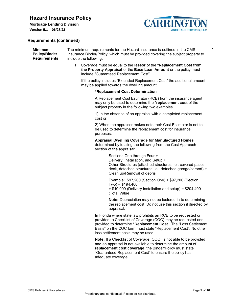

.

#### **Version 5.1 – 06/28/22**

#### **Requirements (continued)**

<span id="page-8-0"></span>

| <b>Minimum</b>       | The minimum requirements for the Hazard Insurance is outlined in the CMS         |
|----------------------|----------------------------------------------------------------------------------|
| <b>Policy/Binder</b> | Insurance Binder/Policy, which must be provided covering the subject property to |
| <b>Requirements</b>  | include the following:                                                           |
|                      | 1. Coverage must be equal to the lessor of the *Replacement Cost from            |

**the Property Appraisal** or the **Base Loan Amount** or the policy must include "Guaranteed Replacement Cost".

If the policy includes "Extended Replacement Cost" the additional amount may be applied towards the dwelling amount.

#### **\*Replacement Cost Determination**

A Replacement Cost Estimator (RCE) from the insurance agent may only be used to determine the \***replacement cost** of the subject property in the following two examples.

1) In the absence of an appraisal with a completed replacement cost or,

2) When the appraiser makes note their Cost Estimator is not to be used to determine the replacement cost for insurance purposes.

#### **Appraisal Dwelling Coverage for Manufactured Homes** determined by totaling the following from the Cost Approach section of the appraisal:

Sections One through Four + Delivery, Installation, and Setup + Other Structures (attached structures i.e., covered patios, deck, detached structures i.e., detached garage/carport) + Clean up/Removal of debris

Example: \$97,200 (Section One) + \$97,200 (Section  $Two$ ) = \$194,400 + \$10,000 (Delivery Installation and setup) = \$204,400 (Total Value)

**Note:** Depreciation may not be factored in to determining the replacement cost. Do not use this section if directed by appraisal.

In Florida where state law prohibits an RCE to be requested or provided, a Checklist of Coverage (COC) may be requested and provided to determine \***Replacement Cost**. The "Loss Settlement Basis" on the COC form must state "Replacement Cost". No other loss settlement basis may be used.

**Note:** If a Checklist of Coverage (COC) is not able to be provided and an appraisal is not available to determine the amount of **replacement cost coverage**, the Binder/Policy must state "Guaranteed Replacement Cost" to ensure the policy has adequate coverage.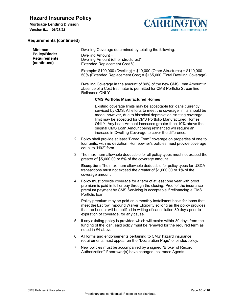

# **Requirements (continued)**

| <b>Minimum</b><br><b>Policy/Binder</b><br><b>Requirements</b><br>(continued) | Dwelling Coverage determined by totaling the following:<br>Dwelling Amount +<br>Dwelling Amount (other structures)*<br><b>Extended Replacement Cost %</b> |                                                                                                                                                                                                                                                                                                                                                                                                                                                            |  |
|------------------------------------------------------------------------------|-----------------------------------------------------------------------------------------------------------------------------------------------------------|------------------------------------------------------------------------------------------------------------------------------------------------------------------------------------------------------------------------------------------------------------------------------------------------------------------------------------------------------------------------------------------------------------------------------------------------------------|--|
|                                                                              |                                                                                                                                                           | Example: \$100,000 (Dwelling) + \$10,000 (Other Structures) = \$110,000<br>50% (Extended Replacement Cost) = \$165,000 (Total Dwelling Coverage)                                                                                                                                                                                                                                                                                                           |  |
|                                                                              |                                                                                                                                                           | Dwelling Coverage in the amount of 80% of the new CMS Loan Amount in<br>absence of a Cost Estimator is permitted for CMS Portfolio Streamline<br>Refinance ONLY.                                                                                                                                                                                                                                                                                           |  |
|                                                                              |                                                                                                                                                           | <b>CMS Portfolio Manufactured Homes</b>                                                                                                                                                                                                                                                                                                                                                                                                                    |  |
|                                                                              |                                                                                                                                                           | Existing coverage limits may be acceptable for loans currently<br>serviced by CMS. All efforts to meet the coverage limits should be<br>made; however, due to historical depreciation existing coverage<br>limit may be accepted for CMS Portfolio Manufactured Homes<br>ONLY. Any Loan Amount increases greater than 10% above the<br>original CMS Loan Amount being refinanced will require an<br>increase in Dwelling Coverage to cover the difference. |  |
|                                                                              |                                                                                                                                                           | 2. Policy shall provide at least "Broad Form" coverage on properties of one to<br>four units, with no deviation. Homeowner's policies must provide coverage<br>equal to "H02" form.                                                                                                                                                                                                                                                                        |  |
|                                                                              |                                                                                                                                                           | 3. The maximum allowable deductible for all policy types must not exceed the<br>greater of \$5,000.00 or 5% of the coverage amount.                                                                                                                                                                                                                                                                                                                        |  |
|                                                                              |                                                                                                                                                           | <b>Exception:</b> The maximum allowable deductible for policy types for USDA<br>transactions must not exceed the greater of \$1,000.00 or 1% of the<br>coverage amount                                                                                                                                                                                                                                                                                     |  |
|                                                                              |                                                                                                                                                           | 4. Policy must provide coverage for a term of at least one year with proof<br>premium is paid in full or pay through the closing. Proof of the insurance<br>premium payment by CMS Servicing is acceptable if refinancing a CMS<br>Portfolio Ioan.                                                                                                                                                                                                         |  |
|                                                                              |                                                                                                                                                           | Policy premium may be paid on a monthly installment basis for loans that<br>meet the Escrow Impound Waiver Eligibility so long as the policy provides<br>that the Lender will be notified in writing of cancellation 30 days prior to<br>expiration of coverage, for any cause.                                                                                                                                                                            |  |
|                                                                              |                                                                                                                                                           | 5. If any existing policy is provided which will expire within 30 days from the<br>funding of the loan, said policy must be renewed for the required term as<br>noted in #4 above.                                                                                                                                                                                                                                                                         |  |
|                                                                              |                                                                                                                                                           | 6. All forms and endorsements pertaining to CMS' hazard insurance<br>requirements must appear on the "Declaration Page" of binder/policy.                                                                                                                                                                                                                                                                                                                  |  |
|                                                                              |                                                                                                                                                           | 7. New policies must be accompanied by a signed "Broker of Record"<br>Authorization" if borrower(s) have changed Insurance Agents.                                                                                                                                                                                                                                                                                                                         |  |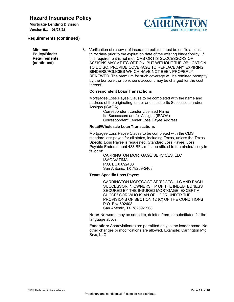**Mortgage Lending Division Version 5.1 – 06/28/22**





**Minimum Policy/Binder Requirements (continued)** 8. Verification of renewal of insurance policies must be on file at least thirty days prior to the expiration date of the existing binder/policy. If this requirement is not met, CMS OR ITS SUCCESSORS OR ASSIGNS MAY AT ITS OPTION, BUT WITHOUT THE OBLIGATION TO DO SO, PROVIDE COVERAGE TO REPLACE ANY EXPIRING BINDERS/POLICIES WHICH HAVE NOT BEEN PROPERLY RENEWED. The premium for such coverage will be remitted promptly by the borrower, or borrower's account may be charged for the cost thereof. **Correspondent Loan Transactions** Mortgagee Loss Payee Clause to be completed with the name and address of the originating lender and include Its Successors and/or Assigns (ISAOA). Correspondent Lender Licensed Name Its Successors and/or Assigns (ISAOA) Correspondent Lender Loss Payee Address **Retail/Wholesale Loan Transactions** Mortgagee Loss Payee Clause to be completed with the CMS standard loss payee for all states, including Texas, unless the Texas Specific Loss Payee is requested. Standard Loss Payee: Loss Payable Endorsement 438 BFU must be affixed to the binder/policy in favor of: CARRINGTON MORTGAGE SERVICES, LLC ISAOA/ATIMA P.O. BOX 692408 San Antonio, TX 78269-2408 **Texas Specific Loss Payee:**

CARRINGTON MORTGAGE SERVICES, LLC AND EACH SUCCESSOR IN OWNERSHIP OF THE INDEBTEDNESS SECURED BY THE INSURED MORTGAGE, EXCEPT A SUCCESSOR WHO IS AN OBLIGOR UNDER THE PROVISIONS OF SECTION 12 (C) OF THE CONDITIONS P.O. Box 692408 San Antonio, TX 78269-2508

**Note:** No words may be added to, deleted from, or substituted for the language above.

**Exception:** Abbreviation(s) are permitted only to the lender name. No other changes or modifications are allowed. Example: Carrington Mtg Srvs, LLC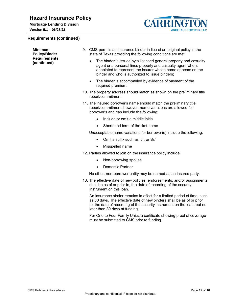**Mortgage Lending Division Version 5.1 – 06/28/22**

# **Requirements (continued)**



| <b>Minimum</b><br><b>Policy/Binder</b> | 9. CMS permits an insurance binder in lieu of an original policy in the<br>state of Texas providing the following conditions are met;                                                                                                                           |
|----------------------------------------|-----------------------------------------------------------------------------------------------------------------------------------------------------------------------------------------------------------------------------------------------------------------|
| <b>Requirements</b><br>(continued)     | The binder is issued by a licensed general property and casualty<br>$\bullet$<br>agent or a personal lines property and casualty agent who is<br>appointed to represent the insurer whose name appears on the<br>binder and who is authorized to issue binders; |
|                                        | The binder is accompanied by evidence of payment of the<br>$\bullet$<br>required premium.                                                                                                                                                                       |
|                                        | 10. The property address should match as shown on the preliminary title<br>report/commitment.                                                                                                                                                                   |
|                                        | 11. The insured borrower's name should match the preliminary title<br>report/commitment, however, name variations are allowed for<br>borrower's and can include the following:                                                                                  |
|                                        | Include or omit a middle initial<br>$\bullet$                                                                                                                                                                                                                   |
|                                        | Shortened form of the first name<br>$\bullet$                                                                                                                                                                                                                   |
|                                        | Unacceptable name variations for borrower(s) include the following:                                                                                                                                                                                             |
|                                        | Omit a suffix such as 'Jr, or Sr.'<br>$\bullet$                                                                                                                                                                                                                 |
|                                        | Misspelled name<br>$\bullet$                                                                                                                                                                                                                                    |
|                                        | 12. Parties allowed to join on the insurance policy include:                                                                                                                                                                                                    |
|                                        | Non-borrowing spouse<br>$\bullet$                                                                                                                                                                                                                               |
|                                        | <b>Domestic Partner</b><br>$\bullet$                                                                                                                                                                                                                            |
|                                        | No other, non-borrower entity may be named as an insured party.                                                                                                                                                                                                 |
|                                        | 13. The effective date of new policies, endorsements, and/or assignments<br>shall be as of or prior to, the date of recording of the security<br>instrument on this loan.                                                                                       |
|                                        | An insurance binder remains in effect for a limited period of time, such<br>as 30 days. The effective date of new binders shall be as of or prior<br>to, the date of recording of the security instrument on the loan, but no<br>later than 30 days at funding. |
|                                        | For One to Four Family Units, a certificate showing proof of coverage                                                                                                                                                                                           |

must be submitted to CMS prior to funding.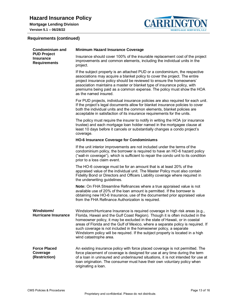

# **Version 5.1 – 06/28/22**

# **Requirements (continued)**

<span id="page-12-2"></span><span id="page-12-1"></span><span id="page-12-0"></span>

| <b>Condominium and</b><br><b>PUD Project</b><br><b>Insurance</b><br><b>Requirements</b> | <b>Minimum Hazard Insurance Coverage</b>                                                                                                                                                                                                                                                                                                                                                                                                                                                                           |  |  |
|-----------------------------------------------------------------------------------------|--------------------------------------------------------------------------------------------------------------------------------------------------------------------------------------------------------------------------------------------------------------------------------------------------------------------------------------------------------------------------------------------------------------------------------------------------------------------------------------------------------------------|--|--|
|                                                                                         | Insurance should cover 100% of the insurable replacement cost of the project<br>improvements and common elements, including the individual units in the<br>project.                                                                                                                                                                                                                                                                                                                                                |  |  |
|                                                                                         | If the subject property is an attached PUD or a condominium, the respective<br>associations may acquire a blanket policy to cover the project. The entire<br>project insurance policy should be reviewed to ensure the homeowners'<br>association maintains a master or blanket type of insurance policy, with<br>premiums being paid as a common expense. The policy must show the HOA<br>as the named insured.                                                                                                   |  |  |
|                                                                                         | For PUD projects, individual insurance policies are also required for each unit.<br>If the project's legal documents allow for blanket insurance policies to cover<br>both the individual units and the common elements, blanket policies are<br>acceptable in satisfaction of its insurance requirements for the units.                                                                                                                                                                                           |  |  |
|                                                                                         | The policy must require the insurer to notify in writing the HOA (or insurance<br>trustee) and each mortgage loan holder named in the mortgagee clause at<br>least 10 days before it cancels or substantially changes a condo project's<br>coverage.                                                                                                                                                                                                                                                               |  |  |
|                                                                                         | <b>HO-6 Insurance Coverage for Condominiums</b>                                                                                                                                                                                                                                                                                                                                                                                                                                                                    |  |  |
|                                                                                         | If the unit interior improvements are not included under the terms of the<br>condominium policy, the borrower is required to have an HO-6 hazard policy<br>("wall-in coverage"), which is sufficient to repair the condo unit to its condition<br>prior to a loss claim event.                                                                                                                                                                                                                                     |  |  |
|                                                                                         | The HO-6 coverage must be for an amount that is at least 20% of the<br>appraised value of the individual unit. The Master Policy must also contain<br>Fidelity Bond or Directors and Officers Liability coverage where required in<br>the underwriting guidelines.                                                                                                                                                                                                                                                 |  |  |
|                                                                                         | Note: On FHA Streamline Refinances where a true appraised value is not<br>available use of 20% of the loan amount is permitted. If the borrower is<br>obtaining new HO-6 Insurance, use of the documented prior appraised value<br>from the FHA Refinance Authorization is required.                                                                                                                                                                                                                               |  |  |
| Windstorm/<br><b>Hurricane Insurance</b>                                                | Windstorm/Hurricane Insurance is required coverage in high risk areas (e.g.,<br>Florida, Hawaii and the Gulf Coast Region). Though it is often included in the<br>homeowner policy, it may be excluded in the state of Hawaii, or in coastal<br>areas of Florida and the Gulf of Mexico, where a separate policy is required. If<br>such coverage is not included in the homeowner policy, a separate<br>Windstorm policy will be required. If the subject property is located in a high<br>wind catastrophe area. |  |  |
| <b>Force Placed</b><br>Coverage<br>(Restriction)                                        | An existing insurance policy with force placed coverage is not permitted. The<br>force placement of coverage is designed for use at any time during the term<br>of a loan in uninsured and underinsured situations, it is not intended for use at<br>loan origination. The consumer must have their own voluntary policy when<br>originating a loan.                                                                                                                                                               |  |  |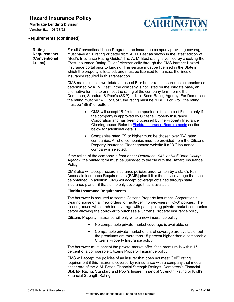

#### **Requirements (continued)**

<span id="page-13-0"></span>**Rating Requirements (Conventional Loans)** For all Conventional Loan Programs the insurance company providing coverage must have a "B" rating or better from A. M. Best as shown in the latest edition of "Best's Insurance Rating Guide." The A. M. Best rating is verified by checking the "Best Insurance Rating Guide" electronically through the CMS Intranet Hazard Insurance portal prior to funding. The service must be licensed in the State in which the property is located, and must be licensed to transact the lines of insurance required in this transaction. CMS maintains its own list/data base of B or better rated insurance companies as determined by A. M. Best. If the company is not listed on the list/data base, an alternative form is to print out the rating of the company form from either Demotech, Standard & Poor's (S&P) or Kroll Bond Rating Agency. For Demotech, the rating must be "A". For S&P, the rating must be "BBB". For Kroll, the rating must be "BBB" or better. CMS will accept "B-" rated companies in the state of Florida only if the company is approved by Citizens Property Insurance Corporation and has been processed by the Property Insurance Clearinghouse. Refer to [Florida Insurance Requirements](#page-13-1) section below for additional details. Companies rated "B" or higher must be chosen over "B-" rated companies. A list of companies must be provided from the Citizens Property Insurance Clearinghouse website if a "B-" insurance company is selected. If the rating of the company is from either *Demotech, S&P or Kroll Bond Rating Agency*, the printed form must be uploaded to the file with the Hazard Insurance Policy. CMS also will accept hazard insurance policies underwritten by a state's Fair Access to Insurance Requirements (FAIR) plan if it is the only coverage that can be obtained. In addition, CMS will accept coverage obtained through state insurance plans—if that is the only coverage that is available. **Florida Insurance Requirements** The borrower is required to search Citizens Property Insurance Corporation's clearinghouse on all new orders for multi-peril homeowners (HO-3) policies. The clearinghouse will search for coverage with participating private-market companies before allowing the borrower to purchase a Citizens Property Insurance policy. Citizens Property Insurance will only write a new insurance policy if: No comparable private-market coverage is available; or Comparable private-market offers of coverage are available, but the premiums are more than 15 percent higher than a comparable Citizens Property Insurance policy. The borrower must accept the private-market offer if the premium is within 15 percent of a comparable Citizens Property Insurance policy. CMS will accept the policies of an insurer that does not meet CMS' rating

<span id="page-13-1"></span>requirement if this insurer is covered by reinsurance with a company that meets either one of the A.M. Best's Financial Strength Ratings, Demotech's Financial Stability Rating, Standard and Poor's Insurer Financial Strength Rating or Kroll's Financial Strength Rating.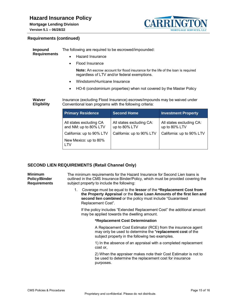# **Hazard Insurance Policy**

**Mortgage Lending Division**

**Version 5.1 – 06/28/22**



#### **Requirements (continued)**

<span id="page-14-1"></span><span id="page-14-0"></span>

| <b>Impound</b>               | The following are required to be escrowed/impounded:                                                                                    |                                           |                                           |  |  |
|------------------------------|-----------------------------------------------------------------------------------------------------------------------------------------|-------------------------------------------|-------------------------------------------|--|--|
| <b>Requirements</b>          | <b>Hazard Insurance</b><br>$\bullet$                                                                                                    |                                           |                                           |  |  |
|                              | Flood Insurance<br>٠                                                                                                                    |                                           |                                           |  |  |
|                              | <b>Note:</b> An escrow account for flood insurance for the life of the loan is required<br>regardless of LTV and/or federal exemptions. |                                           |                                           |  |  |
|                              | Windstorm/Hurricane Insurance<br>$\bullet$                                                                                              |                                           |                                           |  |  |
|                              | HO-6 (condominium properties) when not covered by the Master Policy<br>٠                                                                |                                           |                                           |  |  |
|                              |                                                                                                                                         |                                           |                                           |  |  |
| Waiver<br><b>Eligibility</b> | Insurance (excluding Flood Insurance) escrows/impounds may be waived under<br>Conventional loan programs with the following criteria:   |                                           |                                           |  |  |
|                              | <b>Primary Residence</b>                                                                                                                | <b>Second Home</b>                        | <b>Investment Property</b>                |  |  |
|                              | All states excluding CA<br>and NM: up to 80% LTV                                                                                        | All states excluding CA:<br>up to 80% LTV | All states excluding CA:<br>up to 80% LTV |  |  |
|                              | California: up to 90% LTV                                                                                                               | California: up to 90% LTV                 | California: up to 90% LTV                 |  |  |
|                              | New Mexico: up to 80%<br>LTV                                                                                                            |                                           |                                           |  |  |

# <span id="page-14-2"></span>**SECOND LIEN REQUIREMENTS (Retail Channel Only)**

<span id="page-14-3"></span>**Minimum Policy/Binder Requirements** The minimum requirements for the Hazard Insurance for Second Lien loans is outlined in the CMS Insurance Binder/Policy, which must be provided covering the subject property to include the following:

1. Coverage must be equal to the **lessor** of the **\*Replacement Cost from the Property Appraisal** or the **Base Loan Amounts of the first lien and second lien combined** or the policy must include "Guaranteed Replacement Cost".

If the policy includes "Extended Replacement Cost" the additional amount may be applied towards the dwelling amount.

#### **\*Replacement Cost Determination**

A Replacement Cost Estimator (RCE) from the insurance agent may only be used to determine the \***replacement cost** of the subject property in the following two examples.

1) In the absence of an appraisal with a completed replacement cost or,

2) When the appraiser makes note their Cost Estimator is not to be used to determine the replacement cost for insurance purposes.